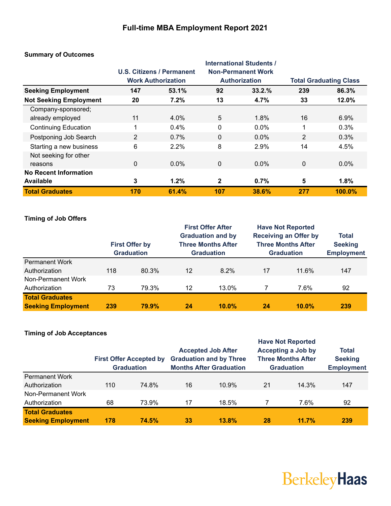### **Full-time MBA Employment Report 2021**

|                               |     | U.S. Citizens / Permanent<br><b>Work Authorization</b> |              | <b>International Students /</b><br><b>Non-Permanent Work</b><br><b>Authorization</b> | <b>Total Graduating Class</b> |         |
|-------------------------------|-----|--------------------------------------------------------|--------------|--------------------------------------------------------------------------------------|-------------------------------|---------|
| <b>Seeking Employment</b>     | 147 | 53.1%                                                  | 92           | 33.2.%                                                                               | 239                           | 86.3%   |
| <b>Not Seeking Employment</b> | 20  | 7.2%                                                   | 13           | 4.7%                                                                                 | 33                            | 12.0%   |
| Company-sponsored;            |     |                                                        |              |                                                                                      |                               |         |
| already employed              | 11  | 4.0%                                                   | 5            | 1.8%                                                                                 | 16                            | 6.9%    |
| <b>Continuing Education</b>   | 1   | 0.4%                                                   | $\mathbf 0$  | $0.0\%$                                                                              | 1                             | 0.3%    |
| Postponing Job Search         | 2   | 0.7%                                                   | $\mathbf{0}$ | $0.0\%$                                                                              | $\overline{2}$                | 0.3%    |
| Starting a new business       | 6   | 2.2%                                                   | 8            | 2.9%                                                                                 | 14                            | 4.5%    |
| Not seeking for other         |     |                                                        |              |                                                                                      |                               |         |
| reasons                       | 0   | $0.0\%$                                                | 0            | $0.0\%$                                                                              | $\mathbf{0}$                  | $0.0\%$ |
| <b>No Recent Information</b>  |     |                                                        |              |                                                                                      |                               |         |
| <b>Available</b>              | 3   | 1.2%                                                   | $\mathbf{2}$ | 0.7%                                                                                 | 5                             | 1.8%    |
| <b>Total Graduates</b>        | 170 | 61.4%                                                  | 107          | 38.6%                                                                                | 277                           | 100.0%  |

### **Summary of Outcomes**

### **Timing of Job Offers**

|                           |     | <b>First Offer by</b><br><b>Graduation</b> |    | <b>First Offer After</b><br><b>Graduation and by</b><br><b>Three Months After</b><br><b>Graduation</b> |    | <b>Have Not Reported</b><br><b>Receiving an Offer by</b><br><b>Three Months After</b><br><b>Graduation</b> | Total<br><b>Seeking</b><br><b>Employment</b> |
|---------------------------|-----|--------------------------------------------|----|--------------------------------------------------------------------------------------------------------|----|------------------------------------------------------------------------------------------------------------|----------------------------------------------|
| <b>Permanent Work</b>     |     |                                            |    |                                                                                                        |    |                                                                                                            |                                              |
| Authorization             | 118 | 80.3%                                      | 12 | $8.2\%$                                                                                                | 17 | 11.6%                                                                                                      | 147                                          |
| Non-Permanent Work        |     |                                            |    |                                                                                                        |    |                                                                                                            |                                              |
| Authorization             | 73  | 79.3%                                      | 12 | 13.0%                                                                                                  |    | 7.6%                                                                                                       | 92                                           |
| <b>Total Graduates</b>    |     |                                            |    |                                                                                                        |    |                                                                                                            |                                              |
| <b>Seeking Employment</b> | 239 | 79.9%                                      | 24 | $10.0\%$                                                                                               | 24 | $10.0\%$                                                                                                   | 239                                          |

### **Timing of Job Acceptances**

|                           |     | <b>First Offer Accepted by</b><br><b>Graduation</b> |    | <b>Accepted Job After</b><br><b>Graduation and by Three</b><br><b>Months After Graduation</b> |    | <b>Have Not Reported</b><br><b>Accepting a Job by</b><br><b>Three Months After</b><br><b>Graduation</b> | <b>Total</b><br><b>Seeking</b><br><b>Employment</b> |
|---------------------------|-----|-----------------------------------------------------|----|-----------------------------------------------------------------------------------------------|----|---------------------------------------------------------------------------------------------------------|-----------------------------------------------------|
| <b>Permanent Work</b>     |     |                                                     |    |                                                                                               |    |                                                                                                         |                                                     |
| Authorization             | 110 | 74.8%                                               | 16 | 10.9%                                                                                         | 21 | 14.3%                                                                                                   | 147                                                 |
| Non-Permanent Work        |     |                                                     |    |                                                                                               |    |                                                                                                         |                                                     |
| Authorization             | 68  | 73.9%                                               | 17 | 18.5%                                                                                         |    | 7.6%                                                                                                    | 92                                                  |
| <b>Total Graduates</b>    |     |                                                     |    |                                                                                               |    |                                                                                                         |                                                     |
| <b>Seeking Employment</b> | 178 | 74.5%                                               | 33 | 13.8%                                                                                         | 28 | 11.7%                                                                                                   | 239                                                 |

# BerkeleyHaas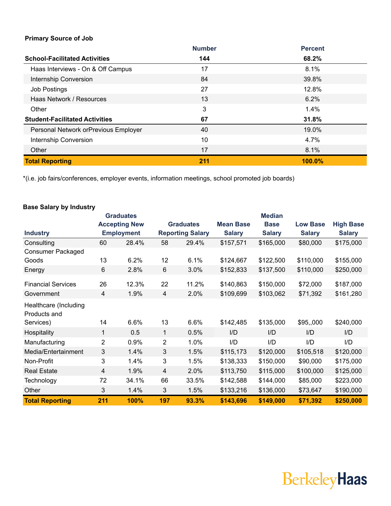### **Primary Source of Job**

|                                       | <b>Number</b> | <b>Percent</b> |
|---------------------------------------|---------------|----------------|
| <b>School-Facilitated Activities</b>  | 144           | 68.2%          |
| Haas Interviews - On & Off Campus     | 17            | 8.1%           |
| Internship Conversion                 | 84            | 39.8%          |
| <b>Job Postings</b>                   | 27            | 12.8%          |
| Haas Network / Resources              | 13            | $6.2\%$        |
| Other                                 | 3             | $1.4\%$        |
| <b>Student-Facilitated Activities</b> | 67            | 31.8%          |
| Personal Network orPrevious Employer  | 40            | 19.0%          |
| Internship Conversion                 | 10            | $4.7\%$        |
| Other                                 | 17            | 8.1%           |
| <b>Total Reporting</b>                | 211           | 100.0%         |

\*(i.e. job fairs/conferences, employer events, information meetings, school promoted job boards)

|                                       |                | <b>Graduates</b>     |                |                         |                  | <b>Median</b> |                 |                  |
|---------------------------------------|----------------|----------------------|----------------|-------------------------|------------------|---------------|-----------------|------------------|
|                                       |                | <b>Accepting New</b> |                | <b>Graduates</b>        | <b>Mean Base</b> | <b>Base</b>   | <b>Low Base</b> | <b>High Base</b> |
| <b>Industry</b>                       |                | <b>Employment</b>    |                | <b>Reporting Salary</b> | <b>Salary</b>    | <b>Salary</b> | <b>Salary</b>   | <b>Salary</b>    |
| Consulting                            | 60             | 28.4%                | 58             | 29.4%                   | \$157,571        | \$165,000     | \$80,000        | \$175,000        |
| <b>Consumer Packaged</b>              |                |                      |                |                         |                  |               |                 |                  |
| Goods                                 | 13             | 6.2%                 | 12             | 6.1%                    | \$124,667        | \$122,500     | \$110,000       | \$155,000        |
| Energy                                | 6              | 2.8%                 | 6              | 3.0%                    | \$152,833        | \$137,500     | \$110,000       | \$250,000        |
| <b>Financial Services</b>             | 26             | 12.3%                | 22             | 11.2%                   | \$140,863        | \$150,000     | \$72,000        | \$187,000        |
| Government                            | 4              | 1.9%                 | $\overline{4}$ | 2.0%                    | \$109,699        | \$103,062     | \$71,392        | \$161,280        |
| Healthcare (Including<br>Products and |                |                      |                |                         |                  |               |                 |                  |
| Services)                             | 14             | 6.6%                 | 13             | 6.6%                    | \$142,485        | \$135,000     | \$95,,000       | \$240,000        |
| Hospitality                           | 1              | 0.5                  | $\mathbf{1}$   | 0.5%                    | I/D              | I/D           | I/D             | I/D              |
| Manufacturing                         | 2              | 0.9%                 | $\overline{2}$ | 1.0%                    | I/D              | I/D           | I/D             | I/D              |
| Media/Entertainment                   | 3              | 1.4%                 | 3              | 1.5%                    | \$115,173        | \$120,000     | \$105,518       | \$120,000        |
| Non-Profit                            | 3              | 1.4%                 | 3              | 1.5%                    | \$138,333        | \$150,000     | \$90,000        | \$175,000        |
| <b>Real Estate</b>                    | $\overline{4}$ | 1.9%                 | 4              | 2.0%                    | \$113,750        | \$115,000     | \$100,000       | \$125,000        |
| Technology                            | 72             | 34.1%                | 66             | 33.5%                   | \$142,588        | \$144,000     | \$85,000        | \$223,000        |
| Other                                 | 3              | 1.4%                 | 3              | 1.5%                    | \$133,216        | \$136,000     | \$73,647        | \$190,000        |
| <b>Total Reporting</b>                | 211            | 100%                 | 197            | 93.3%                   | \$143,696        | \$149,000     | \$71,392        | \$250,000        |

### **Base Salary by Industry**

## **BerkeleyHaas**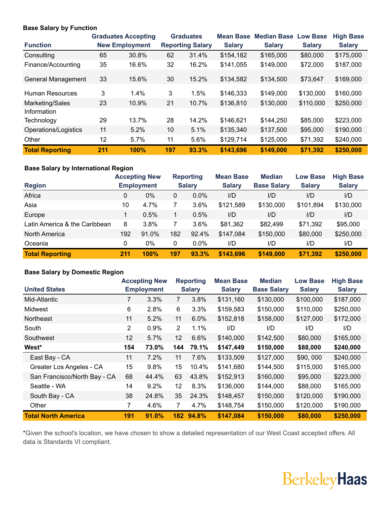#### **Base Salary by Function**

|                           |     | <b>Graduates Accepting</b> |                 | <b>Graduates</b>        | <b>Mean Base</b> | <b>Median Base</b> | <b>Low Base</b> | <b>High Base</b> |
|---------------------------|-----|----------------------------|-----------------|-------------------------|------------------|--------------------|-----------------|------------------|
| <b>Function</b>           |     | <b>New Employment</b>      |                 | <b>Reporting Salary</b> | <b>Salary</b>    | <b>Salary</b>      | <b>Salary</b>   | <b>Salary</b>    |
| Consulting                | 65  | 30.8%                      | 62              | 31.4%                   | \$154,182        | \$165,000          | \$80,000        | \$175,000        |
| Finance/Accounting        | 35  | 16.6%                      | 32              | 16.2%                   | \$141,055        | \$149,000          | \$72,000        | \$187,000        |
| <b>General Management</b> | 33  | 15.6%                      | 30              | 15.2%                   | \$134,582        | \$134,500          | \$73,647        | \$169,000        |
| Human Resources           | 3   | 1.4%                       | 3               | 1.5%                    | \$146,333        | \$149,000          | \$130,000       | \$160,000        |
| Marketing/Sales           | 23  | 10.9%                      | 21              | 10.7%                   | \$136,810        | \$130,000          | \$110,000       | \$250,000        |
| Information               |     |                            |                 |                         |                  |                    |                 |                  |
| Technology                | 29  | 13.7%                      | 28              | 14.2%                   | \$146,621        | \$144,250          | \$85,000        | \$223,000        |
| Operations/Logistics      | 11  | 5.2%                       | 10 <sup>°</sup> | 5.1%                    | \$135,340        | \$137,500          | \$95,000        | \$190,000        |
| Other                     | 12  | 5.7%                       | 11              | 5.6%                    | \$129,714        | \$125,000          | \$71,392        | \$240,000        |
| <b>Total Reporting</b>    | 211 | 100%                       | 197             | 93.3%                   | \$143,696        | \$149,000          | \$71,392        | \$250,000        |

### **Base Salary by International Region**

|                               |              | <b>Accepting New</b> |     | <b>Reporting</b> | <b>Mean Base</b> | <b>Median</b>      | <b>Low Base</b> | <b>High Base</b> |
|-------------------------------|--------------|----------------------|-----|------------------|------------------|--------------------|-----------------|------------------|
| <b>Region</b>                 |              | <b>Employment</b>    |     | <b>Salary</b>    | <b>Salary</b>    | <b>Base Salary</b> | <b>Salary</b>   | <b>Salary</b>    |
| Africa                        | 0            | 0%                   | 0   | 0.0%             | I/D              | I/D                | I/D             | I/D              |
| Asia                          | 10           | 4.7%                 |     | 3.6%             | \$121,589        | \$130,000          | \$101,894       | \$130,000        |
| Europe                        | $\mathbf{1}$ | 0.5%                 |     | 0.5%             | I/D              | I/D                | I/D             | I/D              |
| Latin America & the Caribbean | 8            | 3.8%                 |     | 3.6%             | \$81,362         | \$82,499           | \$71,392        | \$95,000         |
| North America                 | 192          | 91.0%                | 182 | 92.4%            | \$147,084        | \$150,000          | \$80,000        | \$250,000        |
| Oceania                       | 0            | 0%                   | 0   | $0.0\%$          | I/D              | I/D                | I/D             | I/D              |
| <b>Total Reporting</b>        | 211          | 100%                 | 197 | 93.3%            | \$143.696        | \$149,000          | \$71,392        | \$250,000        |

### **Base Salary by Domestic Region**

|                              |                | <b>Accepting New</b> |                | <b>Reporting</b> | <b>Mean Base</b> | <b>Median</b>      | <b>Low Base</b> | <b>High Base</b> |
|------------------------------|----------------|----------------------|----------------|------------------|------------------|--------------------|-----------------|------------------|
| <b>United States</b>         |                | <b>Employment</b>    |                | <b>Salary</b>    | <b>Salary</b>    | <b>Base Salary</b> | <b>Salary</b>   | <b>Salary</b>    |
| Mid-Atlantic                 | 7              | 3.3%                 | $\overline{7}$ | 3.8%             | \$131,160        | \$130,000          | \$100,000       | \$187,000        |
| Midwest                      | 6              | 2.8%                 | 6              | 3.3%             | \$159,583        | \$150,000          | \$110,000       | \$250,000        |
| <b>Northeast</b>             | 11             | 5.2%                 | 11             | 6.0%             | \$152,818        | \$158,000          | \$127,000       | \$172,000        |
| South                        | $\overline{2}$ | 0.9%                 | $\overline{2}$ | 1.1%             | I/D              | I/D                | I/D             | I/D              |
| Southwest                    | 12             | 5.7%                 | 12             | 6.6%             | \$140,000        | \$142,500          | \$80,000        | \$165,000        |
| West*                        | 154            | 73.0%                | 144            | 79.1%            | \$147,449        | \$150,000          | \$88,000        | \$240,000        |
| East Bay - CA                | 11             | 7.2%                 | 11             | 7.6%             | \$133,509        | \$127,000          | \$90,000        | \$240,000        |
| Greater Los Angeles - CA     | 15             | 9.8%                 | 15             | 10.4%            | \$141,680        | \$144,500          | \$115,000       | \$165,000        |
| San Francisco/North Bay - CA | 68             | 44.4%                | 63             | 43.8%            | \$152,913        | \$160,000          | \$95,000        | \$223,000        |
| Seattle - WA                 | 14             | 9.2%                 | 12             | 8.3%             | \$136,000        | \$144,000          | \$88,000        | \$165,000        |
| South Bay - CA               | 38             | 24.8%                | 35             | 24.3%            | \$148,457        | \$150,000          | \$120,000       | \$190,000        |
| Other                        | 7              | 4.6%                 | 7              | 4.7%             | \$148,754        | \$150,000          | \$120,000       | \$190,000        |
| <b>Total North America</b>   | 191            | 91.0%                |                | 182 94.8%        | \$147,084        | \$150,000          | \$80,000        | \$250,000        |

\*Given the school's location, we have chosen to show a detailed representation of our West Coast accepted offers. All data is Standards VI compliant.

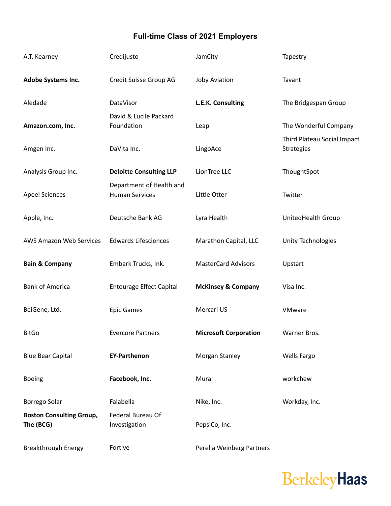## **Full-time Class of 2021 Employers**

| A.T. Kearney                                 | Credijusto                                        | JamCity                       | Tapestry                                         |
|----------------------------------------------|---------------------------------------------------|-------------------------------|--------------------------------------------------|
| Adobe Systems Inc.                           | Credit Suisse Group AG                            | <b>Joby Aviation</b>          | Tavant                                           |
| Aledade                                      | DataVisor                                         | L.E.K. Consulting             | The Bridgespan Group                             |
| Amazon.com, Inc.                             | David & Lucile Packard<br>Foundation              | Leap                          | The Wonderful Company                            |
| Amgen Inc.                                   | DaVita Inc.                                       | LingoAce                      | Third Plateau Social Impact<br><b>Strategies</b> |
| Analysis Group Inc.                          | <b>Deloitte Consulting LLP</b>                    | LionTree LLC                  | ThoughtSpot                                      |
| <b>Apeel Sciences</b>                        | Department of Health and<br><b>Human Services</b> | Little Otter                  | Twitter                                          |
| Apple, Inc.                                  | Deutsche Bank AG                                  | Lyra Health                   | UnitedHealth Group                               |
| <b>AWS Amazon Web Services</b>               | <b>Edwards Lifesciences</b>                       | Marathon Capital, LLC         | Unity Technologies                               |
| <b>Bain &amp; Company</b>                    | Embark Trucks, Ink.                               | <b>MasterCard Advisors</b>    | Upstart                                          |
| <b>Bank of America</b>                       | <b>Entourage Effect Capital</b>                   | <b>McKinsey &amp; Company</b> | Visa Inc.                                        |
| BeiGene, Ltd.                                | <b>Epic Games</b>                                 | Mercari US                    | VMware                                           |
| <b>BitGo</b>                                 | <b>Evercore Partners</b>                          | <b>Microsoft Corporation</b>  | Warner Bros.                                     |
| <b>Blue Bear Capital</b>                     | <b>EY-Parthenon</b>                               | Morgan Stanley                | <b>Wells Fargo</b>                               |
| <b>Boeing</b>                                | Facebook, Inc.                                    | Mural                         | workchew                                         |
| Borrego Solar                                | Falabella                                         | Nike, Inc.                    | Workday, Inc.                                    |
| <b>Boston Consulting Group,</b><br>The (BCG) | Federal Bureau Of<br>Investigation                | PepsiCo, Inc.                 |                                                  |
| <b>Breakthrough Energy</b>                   | Fortive                                           | Perella Weinberg Partners     |                                                  |

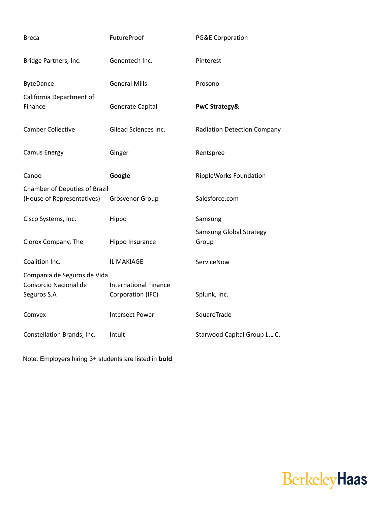| <b>Breca</b>                        | FutureProof                  | <b>PG&amp;E Corporation</b>        |
|-------------------------------------|------------------------------|------------------------------------|
| Bridge Partners, Inc.               | Genentech Inc.               | Pinterest                          |
| <b>ByteDance</b>                    | <b>General Mills</b>         | Prosono                            |
| California Department of<br>Finance | Generate Capital             | <b>PwC Strategy&amp;</b>           |
| <b>Camber Collective</b>            | Gilead Sciences Inc.         | <b>Radiation Detection Company</b> |
| <b>Camus Energy</b>                 | Ginger                       | Rentspree                          |
| Canoo                               | Google                       | RippleWorks Foundation             |
| Chamber of Deputies of Brazil       |                              |                                    |
| (House of Representatives)          | <b>Grosvenor Group</b>       | Salesforce.com                     |
| Cisco Systems, Inc.                 | Hippo                        | Samsung                            |
| Clorox Company, The                 | Hippo Insurance              | Samsung Global Strategy<br>Group   |
| Coalition Inc.                      | IL MAKIAGE                   | ServiceNow                         |
| Compania de Seguros de Vida         |                              |                                    |
| Consorcio Nacional de               | <b>International Finance</b> |                                    |
| Seguros S.A                         | Corporation (IFC)            | Splunk, Inc.                       |
| Comvex                              | <b>Intersect Power</b>       | SquareTrade                        |
| Constellation Brands, Inc.          | Intuit                       | Starwood Capital Group L.L.C.      |

Note: Employers hiring 3+ students are listed in **bold**.